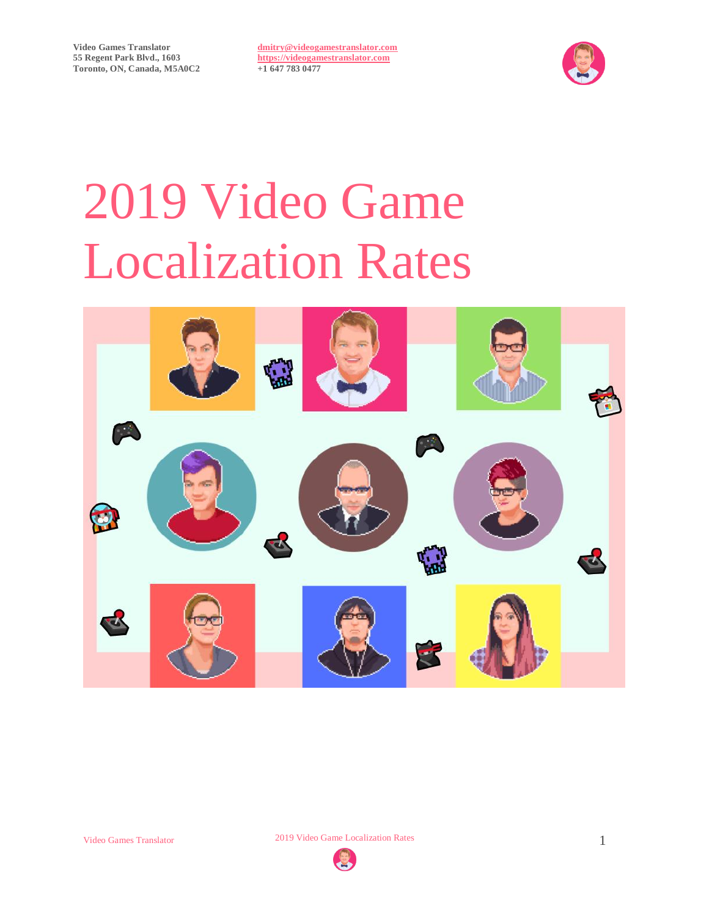

# 2019 Video Game Localization Rates



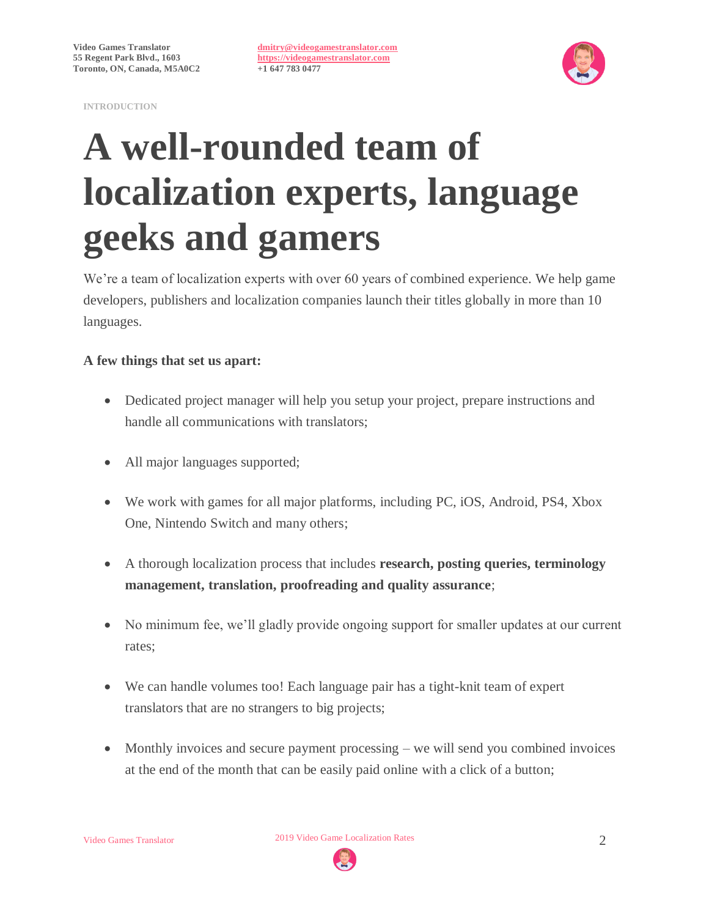



# **A well-rounded team of localization experts, language geeks and gamers**

We're a team of localization experts with over 60 years of combined experience. We help game developers, publishers and localization companies launch their titles globally in more than 10 languages.

### **A few things that set us apart:**

- Dedicated project manager will help you setup your project, prepare instructions and handle all communications with translators;
- All major languages supported;
- We work with games for all major platforms, including PC, iOS, Android, PS4, Xbox One, Nintendo Switch and many others;
- A thorough localization process that includes **research, posting queries, terminology management, translation, proofreading and quality assurance**;
- No minimum fee, we'll gladly provide ongoing support for smaller updates at our current rates;
- We can handle volumes too! Each language pair has a tight-knit team of expert translators that are no strangers to big projects;
- Monthly invoices and secure payment processing we will send you combined invoices at the end of the month that can be easily paid online with a click of a button;

Video Games Translator 2019 Video Game Localization Rates 2

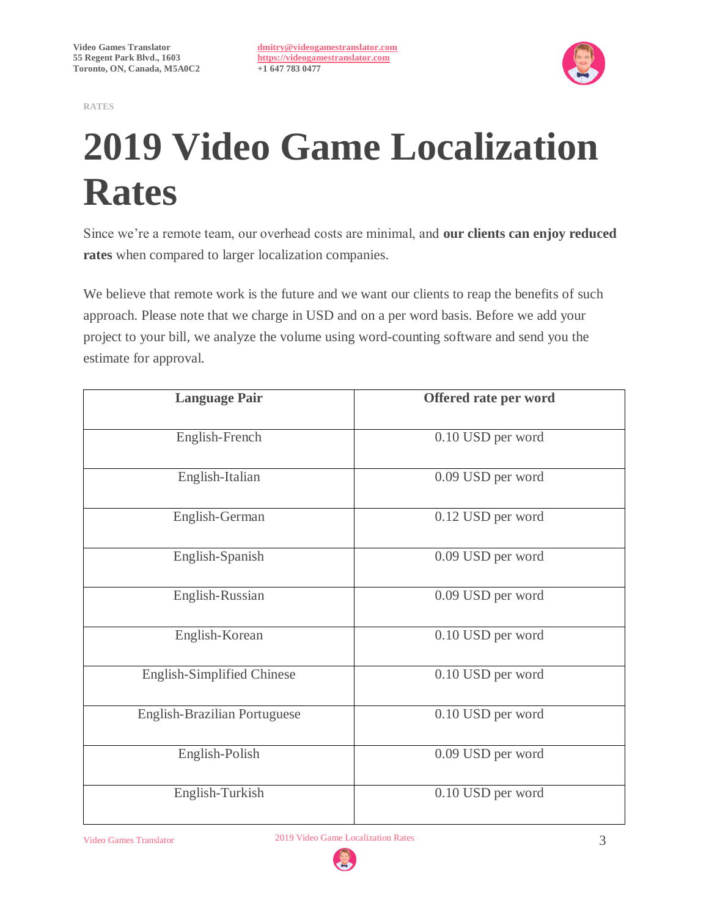**RATES**

**[dmitry@videogamestranslator.com](mailto:dmitry@videogamestranslator.com) [https://videogamestranslator.com](https://videogamestranslator.com/) +1 647 783 0477**



# **2019 Video Game Localization Rates**

Since we're a remote team, our overhead costs are minimal, and **our clients can enjoy reduced rates** when compared to larger localization companies.

We believe that remote work is the future and we want our clients to reap the benefits of such approach. Please note that we charge in USD and on a per word basis. Before we add your project to your bill, we analyze the volume using word-counting software and send you the estimate for approval.

| <b>Language Pair</b>              | Offered rate per word |
|-----------------------------------|-----------------------|
| English-French                    | 0.10 USD per word     |
| English-Italian                   | 0.09 USD per word     |
| English-German                    | 0.12 USD per word     |
| English-Spanish                   | 0.09 USD per word     |
| English-Russian                   | 0.09 USD per word     |
| English-Korean                    | 0.10 USD per word     |
| <b>English-Simplified Chinese</b> | 0.10 USD per word     |
| English-Brazilian Portuguese      | 0.10 USD per word     |
| English-Polish                    | 0.09 USD per word     |
| English-Turkish                   | 0.10 USD per word     |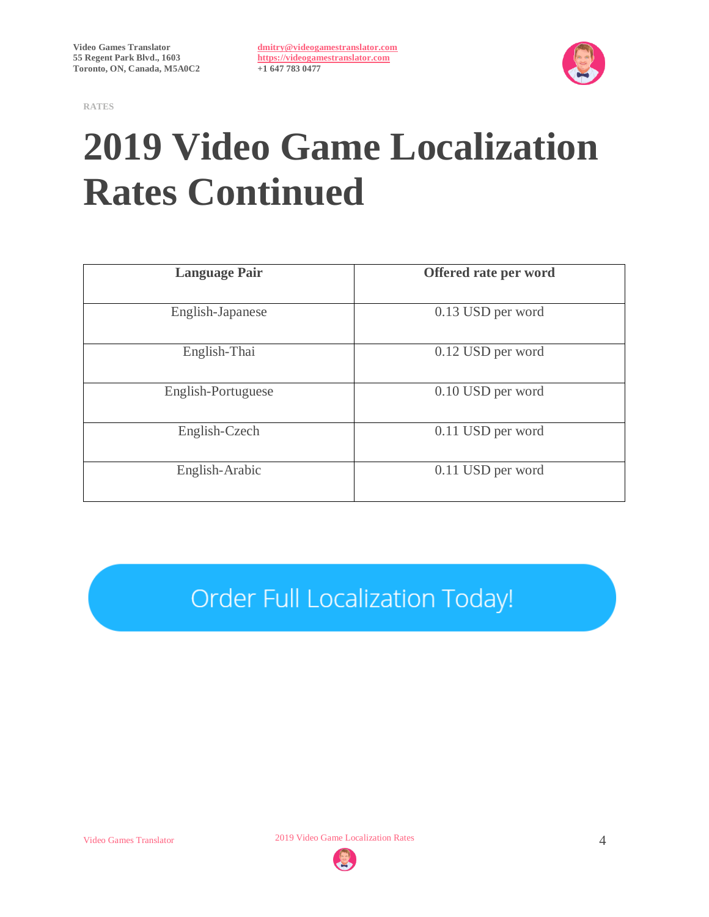**RATES**

**[dmitry@videogamestranslator.com](mailto:dmitry@videogamestranslator.com) [https://videogamestranslator.com](https://videogamestranslator.com/) +1 647 783 0477**



# **2019 Video Game Localization Rates Continued**

| <b>Language Pair</b> | Offered rate per word |
|----------------------|-----------------------|
| English-Japanese     | 0.13 USD per word     |
| English-Thai         | 0.12 USD per word     |
| English-Portuguese   | 0.10 USD per word     |
| English-Czech        | 0.11 USD per word     |
| English-Arabic       | 0.11 USD per word     |

Order Full Localization Today!

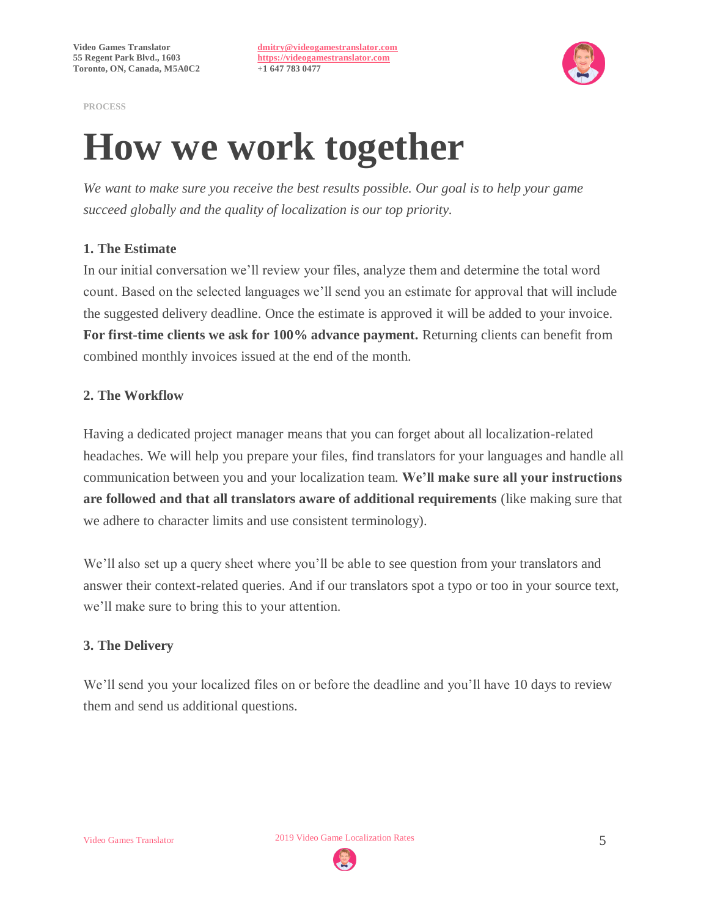

**PROCESS**

### **How we work together**

*We want to make sure you receive the best results possible. Our goal is to help your game succeed globally and the quality of localization is our top priority.*

### **1. The Estimate**

In our initial conversation we'll review your files, analyze them and determine the total word count. Based on the selected languages we'll send you an estimate for approval that will include the suggested delivery deadline. Once the estimate is approved it will be added to your invoice. **For first-time clients we ask for 100% advance payment.** Returning clients can benefit from combined monthly invoices issued at the end of the month.

### **2. The Workflow**

Having a dedicated project manager means that you can forget about all localization-related headaches. We will help you prepare your files, find translators for your languages and handle all communication between you and your localization team. **We'll make sure all your instructions are followed and that all translators aware of additional requirements** (like making sure that we adhere to character limits and use consistent terminology).

We'll also set up a query sheet where you'll be able to see question from your translators and answer their context-related queries. And if our translators spot a typo or too in your source text, we'll make sure to bring this to your attention.

### **3. The Delivery**

We'll send you your localized files on or before the deadline and you'll have 10 days to review them and send us additional questions.